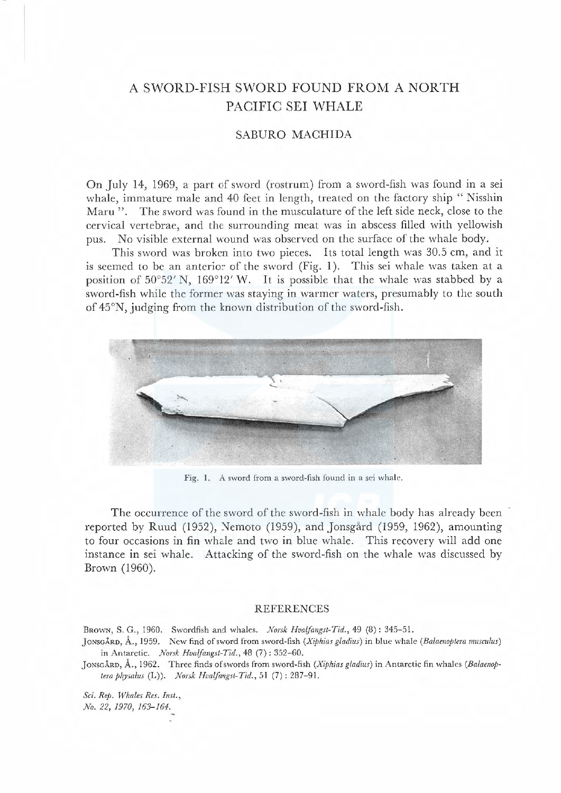## A SWORD-FISH SWORD FOUND FROM A NORTH PACIFIC SEI WHALE

## SABURO MACHIDA

On July 14, 1969, a part of sword (rostrum) from a sword-fish was found in a sei whale, immature male and 40 feet in length, treated on the factory ship "Nisshin Maru ". The sword was found in the musculature of the left side neck, close to the cervical vertebrae, and the surrounding meat was in abscess filled with yellowish pus. No visible external wound was observed on the surface of the whale body.

This sword was broken into two pieces. Its total length was 30.5 cm, and it is seemed to be an anterior of the sword (Fig. 1). This sei whale was taken at a position of  $50^{\circ}52'$  N,  $169^{\circ}12'$  W. It is possible that the whale was stabbed by a sword-fish while the former was staying in warmer waters, presumably to the south of 45°N, judging from the known distribution of the sword-fish.



Fig. 1. A sword from a sword-fish found in a sci whale.

The occurrence of the sword of the sword-fish in whale body has already been reported by Ruud (1952), Nemoto (1959), and Jonsgård (1959, 1962), amounting to four occasions in fin whale and two in blue whale. This recovery will add one instance in sei whale. Attacking of the sword-fish on the whale was discussed by Brown (1960).

## REFERENCES

BROWN, S. G., 1960. Swordfish and whales. Norsk Hvalfangst-Tid., 49 (8): 345-51.

JonsgÅRD, Å., 1959. New find of sword from sword-fish (Xiphias gladius) in blue whale (Balaenoptera musculus) in Antarctic. Norsk Hvalfangst-Tid., 48 (7): 352-60.

JONSGARD, A., 1962. Three finds of swords from sword-fish (Xiphias gladius) in Antarctic fin whales (Balaenoptera physalus (L)). Norsk Hvalfangst-Tid., 51  $(7)$ : 287-91.

Sci. Rep. Whales Res. Inst., No. 22, 1970, 163-164.